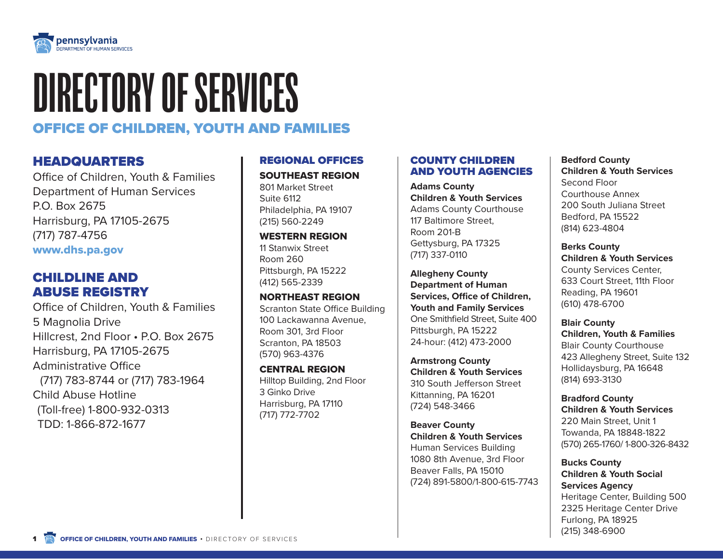

# DIRECTORY OF SERVICES

# OFFICE OF CHILDREN, YOUTH AND FAMILIES

# HEADQUARTERS

Office of Children, Youth & Families Department of Human Services P.O. Box 2675 Harrisburg, PA 17105-2675 (717) 787-4756 [www.dhs.pa.gov](http://www.dhs.pa.gov )

# CHILDLINE AND ABUSE REGISTRY

Office of Children, Youth & Families 5 Magnolia Drive Hillcrest, 2nd Floor • P.O. Box 2675 Harrisburg, PA 17105-2675 Administrative Office (717) 783-8744 or (717) 783-1964 Child Abuse Hotline (Toll-free) 1-800-932-0313 TDD: 1-866-872-1677

# REGIONAL OFFICES

# SOUTHEAST REGION

801 Market Street Suite 6112 Philadelphia, PA 19107 (215) 560-2249

# WESTERN REGION

11 Stanwix Street Room 260 Pittsburgh, PA 15222 (412) 565-2339

# NORTHEAST REGION

Scranton State Office Building 100 Lackawanna Avenue, Room 301, 3rd Floor Scranton, PA 18503 (570) 963-4376

# CENTRAL REGION Hilltop Building, 2nd Floor 3 Ginko Drive Harrisburg, PA 17110 (717) 772-7702

# COUNTY CHILDREN AND YOUTH AGENCIES

**Adams County Children & Youth Services**  Adams County Courthouse 117 Baltimore Street, Room 201-B Gettysburg, PA 17325 (717) 337-0110

**Allegheny County Department of Human Services, Office of Children, Youth and Family Services** One Smithfield Street, Suite 400 Pittsburgh, PA 15222 24-hour: (412) 473-2000

**Armstrong County Children & Youth Services**  310 South Jefferson Street Kittanning, PA 16201 (724) 548-3466

**Beaver County Children & Youth Services**  Human Services Building 1080 8th Avenue, 3rd Floor Beaver Falls, PA 15010 (724) 891-5800/1-800-615-7743

# **Bedford County Children & Youth Services**  Second Floor Courthouse Annex 200 South Juliana Street Bedford, PA 15522 (814) 623-4804

**Berks County Children & Youth Services**  County Services Center, 633 Court Street, 11th Floor Reading, PA 19601 (610) 478-6700

**Blair County Children, Youth & Families**  Blair County Courthouse 423 Allegheny Street, Suite 132 Hollidaysburg, PA 16648 (814) 693-3130

**Bradford County Children & Youth Services**  220 Main Street, Unit 1 Towanda, PA 18848-1822 (570) 265-1760/ 1-800-326-8432

# **Bucks County Children & Youth Social Services Agency**  Heritage Center, Building 500 2325 Heritage Center Drive Furlong, PA 18925 (215) 348-6900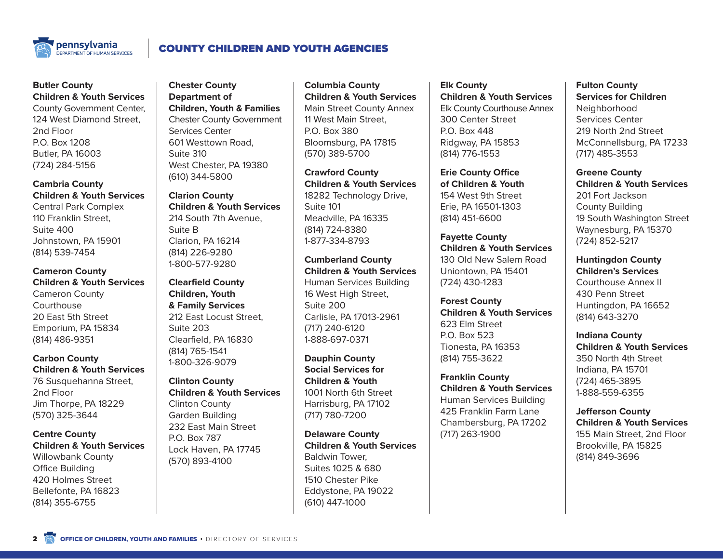

# COUNTY CHILDREN AND YOUTH AGENCIES

#### **Butler County Children & Youth Services**

County Government Center, 124 West Diamond Street, 2nd Floor P.O. Box 1208 Butler, PA 16003 (724) 284-5156

**Cambria County Children & Youth Services**  Central Park Complex 110 Franklin Street, Suite 400 Johnstown, PA 15901 (814) 539-7454

**Cameron County Children & Youth Services**  Cameron County

Courthouse 20 East 5th Street Emporium, PA 15834 (814) 486-9351

**Carbon County Children & Youth Services**  76 Susquehanna Street,

2nd Floor Jim Thorpe, PA 18229 (570) 325-3644

#### **Centre County Children & Youth Services**  Willowbank County

Office Building 420 Holmes Street Bellefonte, PA 16823 (814) 355-6755

**Chester County Department of Children, Youth & Families**  Chester County Government Services Center 601 Westtown Road, Suite 310 West Chester, PA 19380 (610) 344-5800

**Clarion County Children & Youth Services**  214 South 7th Avenue, Suite B Clarion, PA 16214 (814) 226-9280 1-800-577-9280

**Clearfield County Children, Youth & Family Services**  212 East Locust Street, Suite 203 Clearfield, PA 16830 (814) 765-1541 1-800-326-9079

**Clinton County Children & Youth Services**  Clinton County

Garden Building 232 East Main Street P.O. Box 787 Lock Haven, PA 17745 (570) 893-4100

**Columbia County Children & Youth Services**  Main Street County Annex 11 West Main Street, P.O. Box 380 Bloomsburg, PA 17815 (570) 389-5700

**Crawford County Children & Youth Services**  18282 Technology Drive, Suite 101 Meadville, PA 16335 (814) 724-8380 1-877-334-8793

**Cumberland County Children & Youth Services**  Human Services Building 16 West High Street, Suite 200 Carlisle, PA 17013-2961 (717) 240-6120 1-888-697-0371

**Dauphin County Social Services for Children & Youth**  1001 North 6th Street Harrisburg, PA 17102 (717) 780-7200

**Delaware County Children & Youth Services**  Baldwin Tower, Suites 1025 & 680 1510 Chester Pike Eddystone, PA 19022 (610) 447-1000

**Elk County Children & Youth Services**  Elk County Courthouse Annex 300 Center Street P.O. Box 448 Ridgway, PA 15853 (814) 776-1553

**Erie County Office of Children & Youth**  154 West 9th Street Erie, PA 16501-1303 (814) 451-6600

**Fayette County Children & Youth Services**  130 Old New Salem Road Uniontown, PA 15401 (724) 430-1283

**Forest County Children & Youth Services**  623 Elm Street P.O. Box 523 Tionesta, PA 16353 (814) 755-3622

**Franklin County Children & Youth Services**  Human Services Building 425 Franklin Farm Lane Chambersburg, PA 17202 (717) 263-1900

**Fulton County Services for Children Neighborhood** Services Center 219 North 2nd Street McConnellsburg, PA 17233 (717) 485-3553

**Greene County Children & Youth Services**  201 Fort Jackson County Building 19 South Washington Street Waynesburg, PA 15370 (724) 852-5217

**Huntingdon County** 

**Children's Services**  Courthouse Annex II 430 Penn Street Huntingdon, PA 16652 (814) 643-3270

**Indiana County Children & Youth Services**  350 North 4th Street Indiana, PA 15701 (724) 465-3895 1-888-559-6355

**Jefferson County Children & Youth Services**  155 Main Street, 2nd Floor Brookville, PA 15825 (814) 849-3696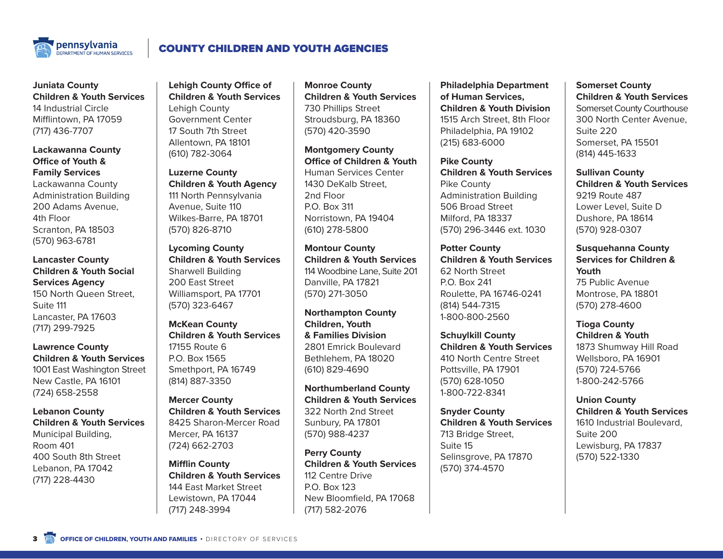

# COUNTY CHILDREN AND YOUTH AGENCIES

# **Juniata County Children & Youth Services**  14 Industrial Circle Mifflintown, PA 17059 (717) 436-7707

**Lackawanna County Office of Youth & Family Services** 

Lackawanna County Administration Building 200 Adams Avenue, 4th Floor Scranton, PA 18503 (570) 963-6781

**Lancaster County Children & Youth Social Services Agency** 150 North Queen Street, Suite 111 Lancaster, PA 17603 (717) 299-7925

**Lawrence County Children & Youth Services**  1001 East Washington Street New Castle, PA 16101 (724) 658-2558

**Lebanon County Children & Youth Services**  Municipal Building, Room 401 400 South 8th Street Lebanon, PA 17042 (717) 228-4430

**Lehigh County Office of Children & Youth Services**  Lehigh County Government Center 17 South 7th Street Allentown, PA 18101 (610) 782-3064

**Luzerne County Children & Youth Agency** 111 North Pennsylvania Avenue, Suite 110 Wilkes-Barre, PA 18701 (570) 826-8710

**Lycoming County Children & Youth Services**  Sharwell Building 200 East Street Williamsport, PA 17701 (570) 323-6467

**McKean County Children & Youth Services**  17155 Route 6 P.O. Box 1565 Smethport, PA 16749 (814) 887-3350

**Mercer County Children & Youth Services**  8425 Sharon-Mercer Road Mercer, PA 16137 (724) 662-2703

**Mifflin County Children & Youth Services**  144 East Market Street Lewistown, PA 17044 (717) 248-3994

**Monroe County Children & Youth Services**  730 Phillips Street Stroudsburg, PA 18360 (570) 420-3590

**Montgomery County Office of Children & Youth** Human Services Center 1430 DeKalb Street, 2nd Floor P.O. Box 311 Norristown, PA 19404 (610) 278-5800

**Montour County Children & Youth Services**  114 Woodbine Lane, Suite 201 Danville, PA 17821 (570) 271-3050

**Northampton County Children, Youth & Families Division**  2801 Emrick Boulevard Bethlehem, PA 18020 (610) 829-4690

**Northumberland County Children & Youth Services**  322 North 2nd Street Sunbury, PA 17801 (570) 988-4237

**Perry County Children & Youth Services**  112 Centre Drive P.O. Box 123 New Bloomfield, PA 17068 (717) 582-2076

**Philadelphia Department of Human Services, Children & Youth Division**  1515 Arch Street, 8th Floor Philadelphia, PA 19102 (215) 683-6000

**Pike County Children & Youth Services**  Pike County Administration Building 506 Broad Street Milford, PA 18337 (570) 296-3446 ext. 1030

**Potter County Children & Youth Services**  62 North Street P.O. Box 241 Roulette, PA 16746-0241 (814) 544-7315 1-800-800-2560

**Schuylkill County Children & Youth Services**  410 North Centre Street Pottsville, PA 17901 (570) 628-1050 1-800-722-8341

**Snyder County Children & Youth Services**  713 Bridge Street, Suite 15 Selinsgrove, PA 17870 (570) 374-4570

# **Somerset County Children & Youth Services**  Somerset County Courthouse 300 North Center Avenue,

Suite 220 Somerset, PA 15501 (814) 445-1633

**Sullivan County Children & Youth Services**  9219 Route 487 Lower Level, Suite D Dushore, PA 18614 (570) 928-0307

**Susquehanna County Services for Children & Youth**  75 Public Avenue Montrose, PA 18801 (570) 278-4600

**Tioga County Children & Youth**  1873 Shumway Hill Road Wellsboro, PA 16901 (570) 724-5766 1-800-242-5766

**Union County Children & Youth Services**  1610 Industrial Boulevard, Suite 200 Lewisburg, PA 17837 (570) 522-1330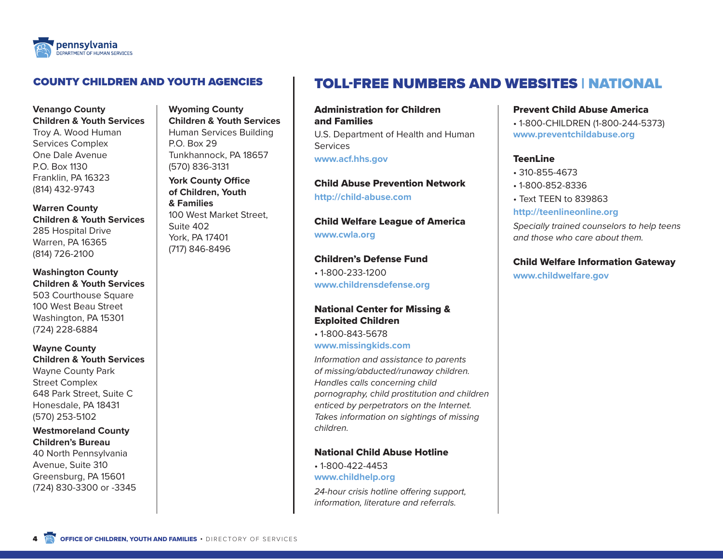

# COUNTY CHILDREN AND YOUTH AGENCIES

## **Venango County Children & Youth Services**

Troy A. Wood Human Services Complex One Dale Avenue P.O. Box 1130 Franklin, PA 16323 (814) 432-9743

**Warren County Children & Youth Services**  285 Hospital Drive Warren, PA 16365 (814) 726-2100

**Washington County Children & Youth Services**  503 Courthouse Square 100 West Beau Street Washington, PA 15301 (724) 228-6884

**Wayne County Children & Youth Services**  Wayne County Park Street Complex 648 Park Street, Suite C Honesdale, PA 18431 (570) 253-5102

**Westmoreland County Children's Bureau** 40 North Pennsylvania Avenue, Suite 310 Greensburg, PA 15601 (724) 830-3300 or -3345

**Wyoming County Children & Youth Services**  Human Services Building P.O. Box 29 Tunkhannock, PA 18657 (570) 836-3131

**York County Office of Children, Youth & Families**  100 West Market Street,

Suite 402 York, PA 17401 (717) 846-8496

# and Families **Services**

**[http://child-abuse.com](http://child-abuse.com )**

**[www.cwla.org](http://www.cwla.org )**

Children's Defense Fund • 1-800-233-1200

**[www.childrensdefense.org](http://www.childrensdefense.org )**

## National Center for Missing & Exploited Children

• 1-800-843-5678 **[www.missingkids.com](http://www.missingkids.com )**

*Information and assistance to parents of missing/abducted/runaway children. Handles calls concerning child pornography, child prostitution and children enticed by perpetrators on the Internet. Takes information on sightings of missing children.*

# National Child Abuse Hotline

• 1-800-422-4453

**[www.childhelp.org](http://www.childhelp.org )**

*24-hour crisis hotline offering support, information, literature and referrals.*

# TOLL-FREE NUMBERS AND WEBSITES | NATIONAL

# Administration for Children

U.S. Department of Health and Human **[www.acf.hhs.gov](http://www.acf.hhs.gov )**

Child Abuse Prevention Network

Child Welfare League of America

# **[www.childwelfare.gov](http://www.childwelfare.gov )**



Prevent Child Abuse America

• 1-800-CHILDREN (1-800-244-5373) **[www.preventchildabuse.org](http://www.preventchildabuse.org )**

# TeenLine

- 310-855-4673
- 1-800-852-8336
- Text TEEN to 839863

#### **[http://teenlineonline.org](http://teenlineonline.org )**

*Specially trained counselors to help teens and those who care about them.*

# Child Welfare Information Gateway